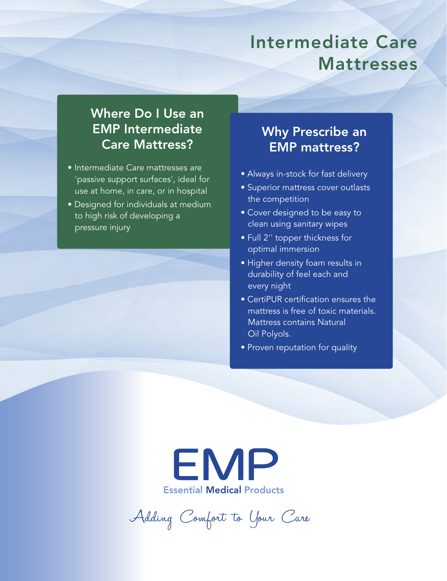# Intermediate Care Mattresses

# Where Do I Use an EMP Intermediate Care Mattress?

- Intermediate Care mattresses are 'passive support surfaces', ideal for use at home, in care, or in hospital
- Designed for individuals at medium to high risk of developing a pressure injury

# Why Prescribe an EMP mattress?

- Always in-stock for fast delivery
- Superior mattress cover outlasts the competition
- Cover designed to be easy to clean using sanitary wipes
- Full 2'' topper thickness for optimal immersion
- Higher density foam results in durability of feel each and every night
- CertiPUR certification ensures the mattress is free of toxic materials. Mattress contains Natural Oil Polyols.
- Proven reputation for quality



Adding Comfort to Your Care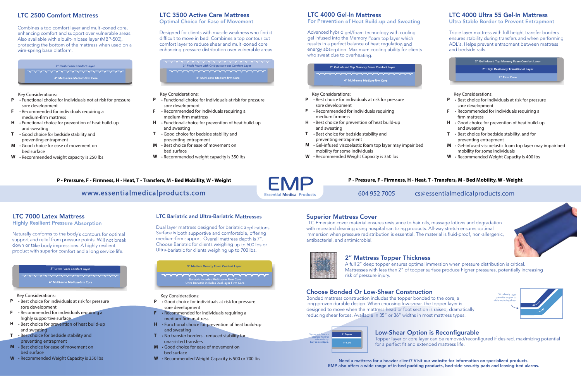## LTC 2500 Comfort Mattress

2" Plush Foam Comfort Layer  $\begin{picture}(180,10) \put(0,0){\dashbox{0.5}(10,0){ }} \put(10,0){\circle{10}} \put(10,0){\circle{10}} \put(10,0){\circle{10}} \put(10,0){\circle{10}} \put(10,0){\circle{10}} \put(10,0){\circle{10}} \put(10,0){\circle{10}} \put(10,0){\circle{10}} \put(10,0){\circle{10}} \put(10,0){\circle{10}} \put(10,0){\circle{10}} \put(10,0){\circle{10}} \put(10,0){\circle{10}} \put(10$ 4" Multi-zone Medium-firm Core

Combines a top comfort layer and multi-zoned core, enhancing comfort and support over vulnerable areas. Also available with a built-in base layer (MBP-500), protecting the bottom of the mattress when used on a wire-spring base platform.

Key Considerations:

#### 2" Latex Foam Comfort Layer \*\*\*\*\*\*\*\*\*\*\*\*\*\*\*\*\*\*\*\*\*\*

4" Multi-zone Medium-firm Core

- Functional choice for individuals not at risk for pressure **P** sore development
- Recommended for individuals requiring a **F** medium-firm mattress
- Functional choice for prevention of heat build-up **H** and sweating
- Good choice for bedside stability and **T** preventing entrapment
- Good choice for ease of movement on **M** bed surface
- Recommended weight capacity is 250 lbs **W**

**P - Pressure, F - Firmness, H - Heat, T - Transfers, M - Bed Mobility, W - Weight**

# www.essentialmedicalproducts.com Essential Medical Products 604 952 7005 cs@essentialmedicalproducts.com

### **P - Pressure, F - Firmness, H - Heat, T - Transfers, M - Bed Mobility, W - Weight**



## LTC 7000 Latex Mattress

Highly Resilient Pressure Absorption

Naturally conforms to the body`s contours for optimal support and relief from pressure points. Will not break down or take body impressions. A highly resilient product with superior comfort and a long service life.

#### Key Considerations:

- Best choice for individuals at risk for pressure **P** sore development
- Recommended for individuals requiring a **F** highly supportive surface
- Best choice for prevention of heat build-up **H** and sweating
- Best choice for bedside stability and **T** preventing entrapment
- Best choice for ease of movement on **M** bed surface
- Recommended Weight Capacity is 350 lbs **W**

2" Plush Foam with Grid-pattern-cut Comfort Layer wwwwwwwwwwwwwww 4" Multi-zone Medium-firm Core

# LTC 4000 Ultra 55 Gel-In Mattress

Ultra Stable Border to Prevent Entrapment

Triple layer mattress with full height transfer borders ensures stability during transfers and when performing ADL's. Helps prevent entrapment between mattress and bedside rails.

Key Considerations:

- Best choice for individuals at risk for pressure **P** sore development
- Recommended for individuals requiring a firm mattress **F**
- Good choice for prevention of heat build-up **H** and sweating
- Best choice for bedside stability, and for preventing entrapment **T**
- Gel-infused viscoelastic foam top layer may impair bed mobility for some individuals **M**
- Recommended Weight Capacity is 400 lbs **W**



# Superior Mattress Cover

2" Gel Infused Top Memory Foam Comfort Layer v-v-v-v-v-v-v-v-v-v-v-v-v-v-v-v 4" Multi-zone Medium-firm Core

LTC Emersion cover material ensures resistance to hair oils, massage lotions and degradation with repeated cleaning using hospital sanitizing products. All-way stretch ensures optimal immersion when pressure redistribution is essential. The material is fluid-proof, non-allergenic, antibacterial, and antimicrobial.



### LTC 3500 Active Care Mattress

Optimal Choice for Ease of Movement

Designed for clients with muscle weakness who find it difficult to move in bed. Combines a top contour cut comfort layer to reduce shear and multi-zoned core enhancing pressure distribution over vulnerable areas.

Key Considerations:

- Functional choice for individuals at risk for pressure **P** sore development
- Recommended for individuals requiring a medium-firm mattress **F**
- Functional choice for prevention of heat build-up **H** and sweating
- Good choice for bedside stability and preventing entrapment **T**
- Best choice for ease of movement on bed surface **M**
- Recommended weight capacity is 350 lbs **W**

# 2" Mattress Topper Thickness

A full 2" deep topper ensures optimal immersion when pressure distribution is critical. Mattresses with less than 2" of topper surface produce higher pressures, potentially increasing risk of pressure injury.

## Choose Bonded Or Low-Shear Construction

Bonded mattress construction includes the topper bonded to the core, a long-proven durable design. When choosing low-shear, the topper layer is designed to move when the mattress head or foot section is raised, dramatically reducing shear forces. Available in 35" or 36" widths in most mattress types.

# Low-Shear Option is Reconfigurable

Topper layer or core layer can be removed/reconfigured if desired, maximizing potential for a perfect fit and extended mattress life.

Slip sheets layer permits topper to slide reducing shear





Need a mattress for a heavier client? Visit our website for information on specialized products. EMP also offers a wide range of in-bed padding products, bed-side security pads and leaving-bed alarms.



## LTC 4000 Gel-In Mattress

For Prevention of Heat Build-up and Sweating

Advanced hybrid gel/foam technology with cooling gel infused into the Memory Foam top layer which results in a perfect balance of heat regulation and energy absorption. Maximum cooling ability for clients who sweat due to overheating.

Key Considerations:

- Best choice for individuals at risk for pressure sore development **P**
- Recommended for individuals requiring medium firmness **F**
- Best choice for prevention of heat build-up **H** and sweating
- Best choice for bedside stability and preventing entrapment **T**
- Gel-infused viscoelastic foam top layer may impair bed mobility for some individuals **M**
- Recommended Weight Capacity is 350 lbs **W**

### LTC Bariatric and Ultra-Bariatric Mattresses

Dual layer mattress designed for bariatric applications. Surface is both supportive and comfortable, offering medium-firm support. Overall mattress depth is 7". Choose Bariatric for clients weighing up to 500 lbs or Ultra-bariatric for clients weighing up to 700 lbs.

#### Key Considerations:

- Good choice for individuals at risk for pressure **P** sore development
- Recommended for individuals requiring a **F** medium-firm mattress
- Functional choice for prevention of heat build-up **H** and sweating
- No transfer borders reduced stability for **T** unassisted transfers
- Good choice for ease of movement on **M** bed surface
- Recommended Weight Capacity is 500 or 700 lbs **W**